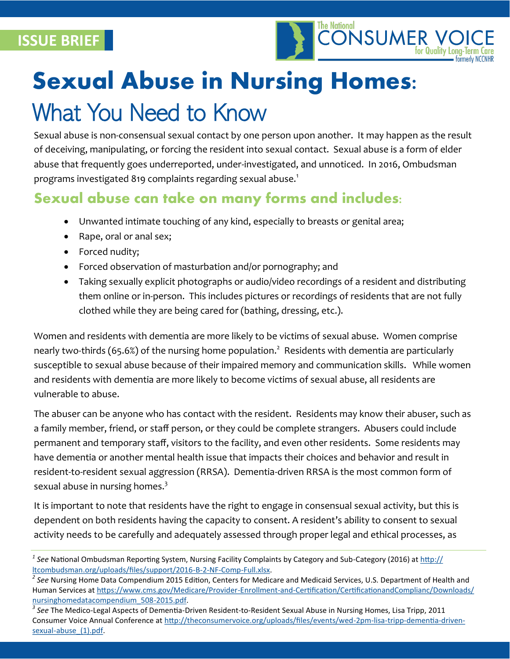**ISSUE BRIEF**



# **Sexual Abuse in Nursing Homes:**

## What You Need to Know

Sexual abuse is non-consensual sexual contact by one person upon another. It may happen as the result of deceiving, manipulating, or forcing the resident into sexual contact. Sexual abuse is a form of elder abuse that frequently goes underreported, under-investigated, and unnoticed. In 2016, Ombudsman programs investigated 819 complaints regarding sexual abuse.<sup>1</sup>

#### **Sexual abuse can take on many forms and includes:**

- Unwanted intimate touching of any kind, especially to breasts or genital area;
- Rape, oral or anal sex;
- Forced nudity;
- Forced observation of masturbation and/or pornography; and
- Taking sexually explicit photographs or audio/video recordings of a resident and distributing them online or in-person. This includes pictures or recordings of residents that are not fully clothed while they are being cared for (bathing, dressing, etc.).

Women and residents with dementia are more likely to be victims of sexual abuse. Women comprise nearly two-thirds (65.6%) of the nursing home population.<sup>2</sup> Residents with dementia are particularly susceptible to sexual abuse because of their impaired memory and communication skills. While women and residents with dementia are more likely to become victims of sexual abuse, all residents are vulnerable to abuse.

The abuser can be anyone who has contact with the resident. Residents may know their abuser, such as a family member, friend, or staff person, or they could be complete strangers. Abusers could include permanent and temporary staff, visitors to the facility, and even other residents. Some residents may have dementia or another mental health issue that impacts their choices and behavior and result in resident-to-resident sexual aggression (RRSA). Dementia-driven RRSA is the most common form of sexual abuse in nursing homes. $3$ 

It is important to note that residents have the right to engage in consensual sexual activity, but this is dependent on both residents having the capacity to consent. A resident's ability to consent to sexual activity needs to be carefully and adequately assessed through proper legal and ethical processes, as

*<sup>1</sup> See* National Ombudsman Reporting System, Nursing Facility Complaints by Category and Sub-Category (2016) at [http://](http://ltcombudsman.org/uploads/files/support/2016-B-2-NF-Comp-Full.xlsx) [ltcombudsman.org/uploads/files/support/2016](http://ltcombudsman.org/uploads/files/support/2016-B-2-NF-Comp-Full.xlsx)-B-2-NF-Comp-Full.xlsx.

<sup>&</sup>lt;sup>2</sup> See Nursing Home Data Compendium 2015 Edition, Centers for Medicare and Medicaid Services, U.S. Department of Health and Human Services at https://www.cms.gov/Medicare/Provider-Enrollment-and-[Certification/CertificationandComplianc/Downloads/](https://www.cms.gov/Medicare/Provider-Enrollment-and-Certification/CertificationandComplianc/Downloads/nursinghomedatacompendium_508-2015.pdf) [nursinghomedatacompendium\\_508](https://www.cms.gov/Medicare/Provider-Enrollment-and-Certification/CertificationandComplianc/Downloads/nursinghomedatacompendium_508-2015.pdf)-2015.pdf.

*<sup>3</sup> See* The Medico-Legal Aspects of Dementia-Driven Resident-to-Resident Sexual Abuse in Nursing Homes, Lisa Tripp, 2011 Consumer Voice Annual Conference at [http://theconsumervoice.org/uploads/files/events/wed](http://theconsumervoice.org/uploads/files/events/wed-2pm-lisa-tripp-dementia-driven-sexual-abuse_(1).pdf)-2pm-lisa-tripp-dementia-drivensexual-abuse (1).pdf.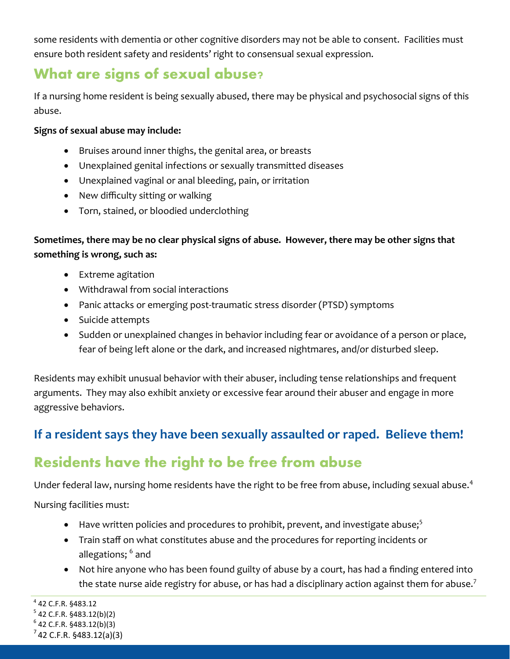some residents with dementia or other cognitive disorders may not be able to consent. Facilities must ensure both resident safety and residents' right to consensual sexual expression.

#### **What are signs of sexual abuse?**

If a nursing home resident is being sexually abused, there may be physical and psychosocial signs of this abuse.

#### **Signs of sexual abuse may include:**

- Bruises around inner thighs, the genital area, or breasts
- Unexplained genital infections or sexually transmitted diseases
- Unexplained vaginal or anal bleeding, pain, or irritation
- New difficulty sitting or walking
- Torn, stained, or bloodied underclothing

#### **Sometimes, there may be no clear physical signs of abuse. However, there may be other signs that something is wrong, such as:**

- Extreme agitation
- Withdrawal from social interactions
- Panic attacks or emerging post-traumatic stress disorder (PTSD) symptoms
- Suicide attempts
- Sudden or unexplained changes in behavior including fear or avoidance of a person or place, fear of being left alone or the dark, and increased nightmares, and/or disturbed sleep.

Residents may exhibit unusual behavior with their abuser, including tense relationships and frequent arguments. They may also exhibit anxiety or excessive fear around their abuser and engage in more aggressive behaviors.

#### **If a resident says they have been sexually assaulted or raped. Believe them!**

### **Residents have the right to be free from abuse**

Under federal law, nursing home residents have the right to be free from abuse, including sexual abuse.<sup>4</sup>

Nursing facilities must:

- Have written policies and procedures to prohibit, prevent, and investigate abuse; $5$
- Train staff on what constitutes abuse and the procedures for reporting incidents or allegations;  $^{\rm 6}$  and
- Not hire anyone who has been found guilty of abuse by a court, has had a finding entered into the state nurse aide registry for abuse, or has had a disciplinary action against them for abuse.<sup>7</sup>

4 42 C.F.R. §483.12

<sup>&</sup>lt;sup>5</sup> 42 C.F.R. §483.12(b)(2)

 $7$  42 C.F.R. §483.12(a)(3)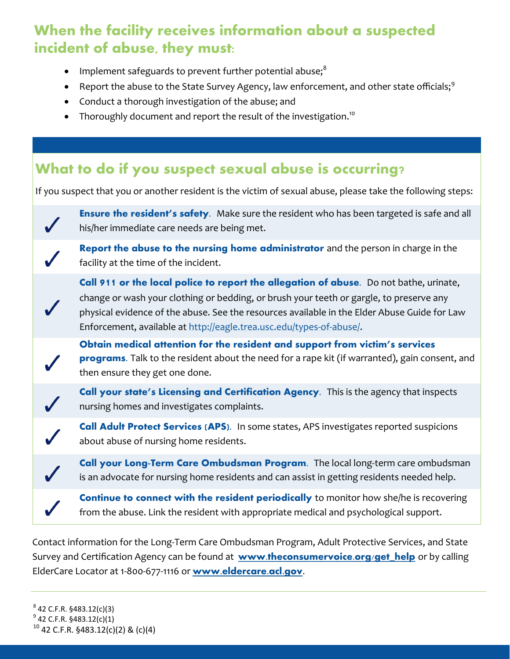### **When the facility receives information about a suspected incident of abuse, they must:**

- Implement safeguards to prevent further potential abuse;<sup>8</sup>
- Report the abuse to the State Survey Agency, law enforcement, and other state officials;<sup>9</sup>
- Conduct a thorough investigation of the abuse; and
- Thoroughly document and report the result of the investigation.<sup>10</sup>

#### **What to do if you suspect sexual abuse is occurring?**

If you suspect that you or another resident is the victim of sexual abuse, please take the following steps:



**Continue to connect with the resident periodically** to monitor how she/he is recovering from the abuse. Link the resident with appropriate medical and psychological support.

Contact information for the Long-Term Care Ombudsman Program, Adult Protective Services, and State Survey and Certification Agency can be found at **[www.theconsumervoice.org/get\\_help](http://www.theconsumervoice.org/get_help)** or by calling ElderCare Locator at 1-800-677-1116 or **[www.eldercare.acl.gov.](http://www.eldercare.acl.gov)**